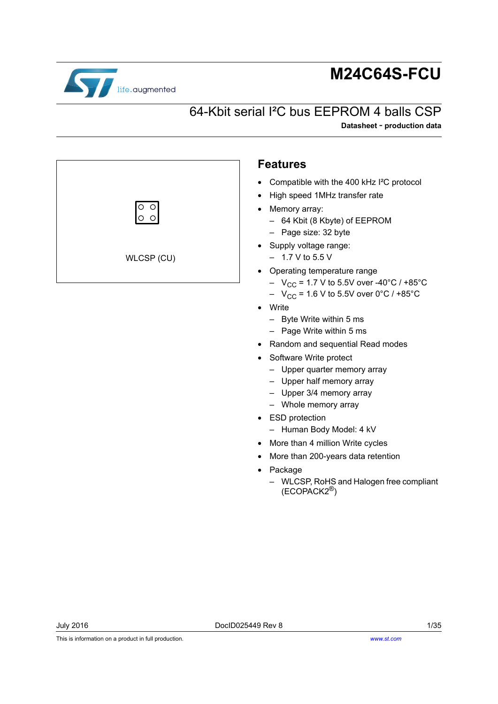

# **M24C64S-FCU**

## <span id="page-0-0"></span>64-Kbit serial I²C bus EEPROM 4 balls CSP

**Datasheet** - **production data**



- Write
	- Byte Write within 5 ms
	- Page Write within 5 ms
- Random and sequential Read modes
- Software Write protect
	- Upper quarter memory array
	- Upper half memory array
	- Upper 3/4 memory array
	- Whole memory array
- ESD protection
	- Human Body Model: 4 kV
- More than 4 million Write cycles
- More than 200-years data retention
- Package
	- WLCSP, RoHS and Halogen free compliant (ECOPACK2®)

This is information on a product in full production.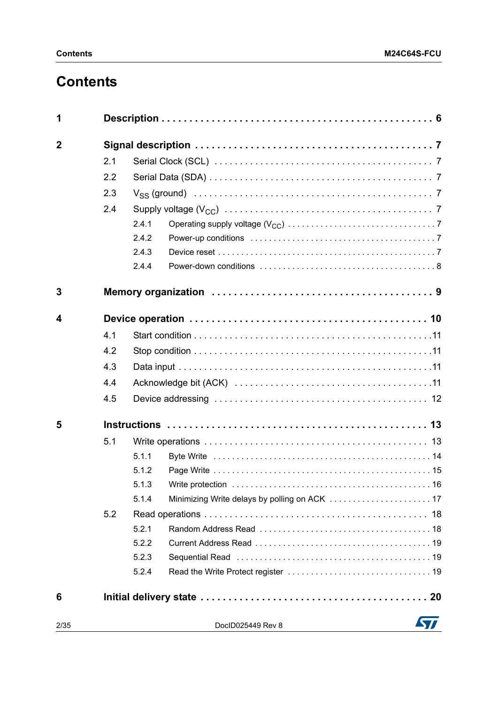## **Contents**

| 1              |     |       |                   |     |  |  |  |  |  |
|----------------|-----|-------|-------------------|-----|--|--|--|--|--|
| $\overline{2}$ |     |       |                   |     |  |  |  |  |  |
|                | 2.1 |       |                   |     |  |  |  |  |  |
|                | 2.2 |       |                   |     |  |  |  |  |  |
|                | 2.3 |       |                   |     |  |  |  |  |  |
|                | 2.4 |       |                   |     |  |  |  |  |  |
|                |     | 2.4.1 |                   |     |  |  |  |  |  |
|                |     | 2.4.2 |                   |     |  |  |  |  |  |
|                |     | 2.4.3 |                   |     |  |  |  |  |  |
|                |     | 2.4.4 |                   |     |  |  |  |  |  |
| 3              |     |       |                   |     |  |  |  |  |  |
| 4              |     |       |                   |     |  |  |  |  |  |
|                | 4.1 |       |                   |     |  |  |  |  |  |
|                | 4.2 |       |                   |     |  |  |  |  |  |
|                | 4.3 |       |                   |     |  |  |  |  |  |
|                | 4.4 |       |                   |     |  |  |  |  |  |
|                | 4.5 |       |                   |     |  |  |  |  |  |
| 5              |     |       |                   |     |  |  |  |  |  |
|                | 5.1 |       |                   |     |  |  |  |  |  |
|                |     | 5.1.1 |                   |     |  |  |  |  |  |
|                |     | 5.1.2 |                   |     |  |  |  |  |  |
|                |     |       |                   |     |  |  |  |  |  |
|                |     | 5.1.4 |                   |     |  |  |  |  |  |
|                | 5.2 |       |                   |     |  |  |  |  |  |
|                |     | 5.2.1 |                   |     |  |  |  |  |  |
|                |     | 5.2.2 |                   |     |  |  |  |  |  |
|                |     | 5.2.3 |                   |     |  |  |  |  |  |
|                |     | 5.2.4 |                   |     |  |  |  |  |  |
| 6              |     |       |                   |     |  |  |  |  |  |
| 2/35           |     |       | DocID025449 Rev 8 | 577 |  |  |  |  |  |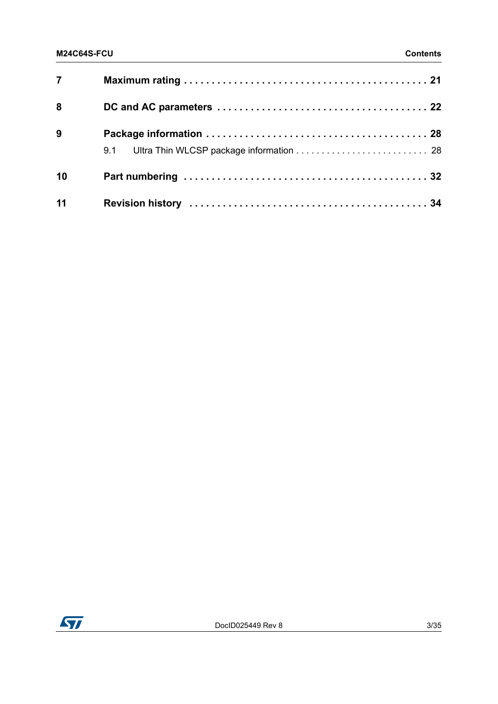| 7 <sup>7</sup> |  |
|----------------|--|
| 8              |  |
| 9              |  |
| 10             |  |
| 11             |  |

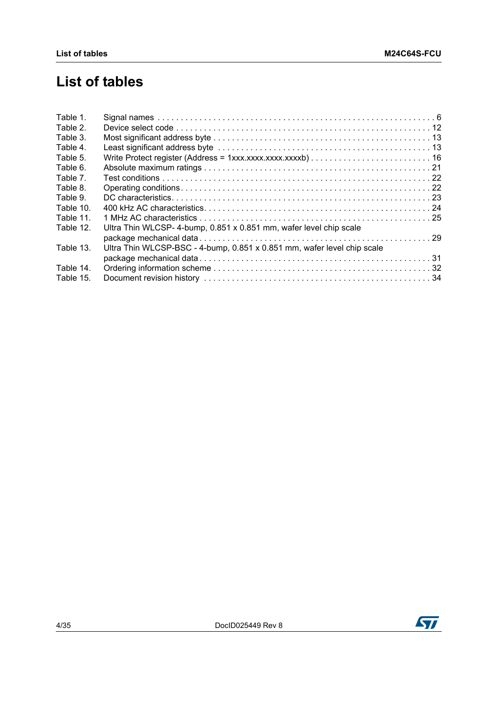## **List of tables**

| Table 1.  |                                                                         |  |
|-----------|-------------------------------------------------------------------------|--|
| Table 2.  |                                                                         |  |
| Table 3.  |                                                                         |  |
| Table 4.  |                                                                         |  |
| Table 5.  |                                                                         |  |
| Table 6.  |                                                                         |  |
| Table 7.  |                                                                         |  |
| Table 8.  |                                                                         |  |
| Table 9.  |                                                                         |  |
| Table 10. |                                                                         |  |
| Table 11. |                                                                         |  |
| Table 12. | Ultra Thin WLCSP- 4-bump, 0.851 x 0.851 mm, wafer level chip scale      |  |
|           |                                                                         |  |
| Table 13. | Ultra Thin WLCSP-BSC - 4-bump, 0.851 x 0.851 mm, wafer level chip scale |  |
|           |                                                                         |  |
| Table 14. |                                                                         |  |
| Table 15. |                                                                         |  |
|           |                                                                         |  |

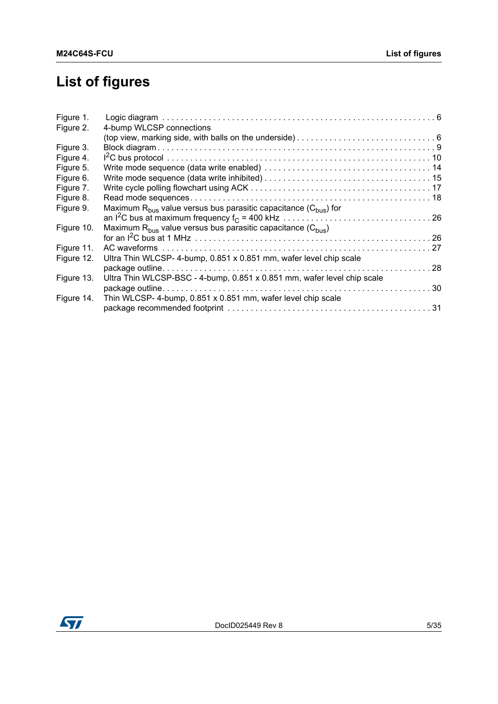# **List of figures**

| Figure 1.  |                                                                          |  |
|------------|--------------------------------------------------------------------------|--|
| Figure 2.  | 4-bump WLCSP connections                                                 |  |
|            |                                                                          |  |
| Figure 3.  |                                                                          |  |
| Figure 4.  |                                                                          |  |
| Figure 5.  |                                                                          |  |
| Figure 6.  |                                                                          |  |
| Figure 7.  |                                                                          |  |
| Figure 8.  |                                                                          |  |
| Figure 9.  | Maximum $R_{bus}$ value versus bus parasitic capacitance $(C_{bus})$ for |  |
|            |                                                                          |  |
| Figure 10. | Maximum $R_{bus}$ value versus bus parasitic capacitance $(C_{bus})$     |  |
|            |                                                                          |  |
| Figure 11. |                                                                          |  |
| Figure 12. | Ultra Thin WLCSP-4-bump, 0.851 x 0.851 mm, wafer level chip scale        |  |
|            |                                                                          |  |
| Figure 13. | Ultra Thin WLCSP-BSC - 4-bump, 0.851 x 0.851 mm, wafer level chip scale  |  |
|            |                                                                          |  |
| Figure 14. | Thin WLCSP- 4-bump, 0.851 x 0.851 mm, wafer level chip scale             |  |
|            |                                                                          |  |

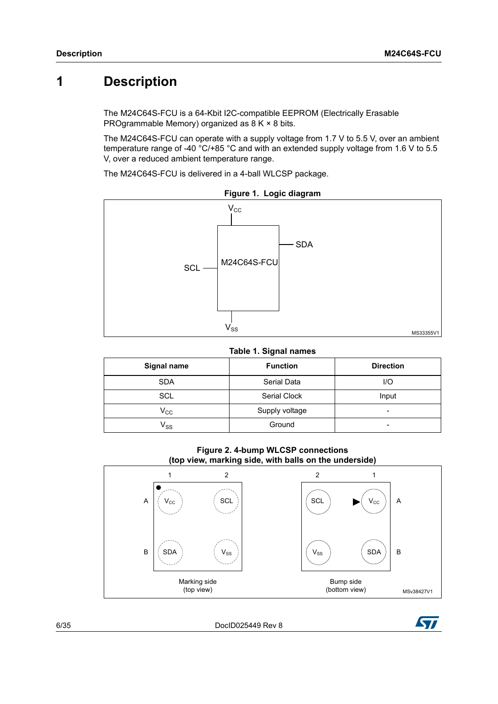## <span id="page-5-0"></span>**1 Description**

The M24C64S-FCU is a 64-Kbit I2C-compatible EEPROM (Electrically Erasable PROgrammable Memory) organized as 8 K × 8 bits.

The M24C64S-FCU can operate with a supply voltage from 1.7 V to 5.5 V, over an ambient temperature range of -40 °C/+85 °C and with an extended supply voltage from 1.6 V to 5.5 V, over a reduced ambient temperature range.

The M24C64S-FCU is delivered in a 4-ball WLCSP package.

<span id="page-5-2"></span>

**Figure 1. Logic diagram**

**Table 1. Signal names**

<span id="page-5-1"></span>

| Signal name                | <b>Function</b> | <b>Direction</b> |
|----------------------------|-----------------|------------------|
| <b>SDA</b>                 | Serial Data     | $U$ O            |
| SCL                        | Serial Clock    | Input            |
| $\mathsf{V}_{\mathsf{CC}}$ | Supply voltage  | -                |
| $\mathsf{v}_{\mathsf{ss}}$ | Ground          | -                |

#### **Figure 2. 4-bump WLCSP connections (top view, marking side, with balls on the underside)**

<span id="page-5-3"></span>

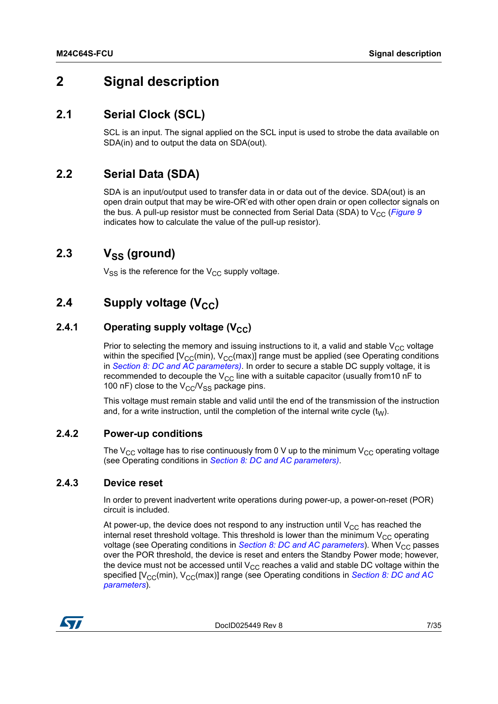## <span id="page-6-0"></span>**2 Signal description**

### <span id="page-6-1"></span>**2.1 Serial Clock (SCL)**

SCL is an input. The signal applied on the SCL input is used to strobe the data available on SDA(in) and to output the data on SDA(out).

### <span id="page-6-2"></span>**2.2 Serial Data (SDA)**

SDA is an input/output used to transfer data in or data out of the device. SDA(out) is an open drain output that may be wire-OR'ed with other open drain or open collector signals on the bus. A pull-up resistor must be connected from Serial Data (SDA) to  $V_{CC}$  (*[Figure 9](#page-25-0)* indicates how to calculate the value of the pull-up resistor).

## <span id="page-6-3"></span>2.3 V<sub>SS</sub> (ground)

 $V_{SS}$  is the reference for the  $V_{CC}$  supply voltage.

## <span id="page-6-4"></span>**2.4** Supply voltage (V<sub>CC</sub>)

#### <span id="page-6-5"></span>**2.4.1** Operating supply voltage (V<sub>CC</sub>)

Prior to selecting the memory and issuing instructions to it, a valid and stable  $V_{CC}$  voltage within the specified  $[V_{CC}(min), V_{CC}(max)]$  range must be applied (see Operating conditions in *[Section 8: DC and AC parameters](#page-21-0))*. In order to secure a stable DC supply voltage, it is recommended to decouple the  $V_{CC}$  line with a suitable capacitor (usually from 10 nF to 100 nF) close to the  $V_{CC}/V_{SS}$  package pins.

This voltage must remain stable and valid until the end of the transmission of the instruction and, for a write instruction, until the completion of the internal write cycle  $(t_W)$ .

#### <span id="page-6-6"></span>**2.4.2 Power-up conditions**

The  $V_{CC}$  voltage has to rise continuously from 0 V up to the minimum  $V_{CC}$  operating voltage (see Operating conditions in *[Section 8: DC and AC parameters](#page-21-0))*.

#### <span id="page-6-7"></span>**2.4.3 Device reset**

In order to prevent inadvertent write operations during power-up, a power-on-reset (POR) circuit is included.

At power-up, the device does not respond to any instruction until  $V_{CC}$  has reached the internal reset threshold voltage. This threshold is lower than the minimum  $V_{CC}$  operating voltage (see Operating conditions in *[Section 8: DC and AC parameters](#page-21-0)*). When V<sub>CC</sub> passes over the POR threshold, the device is reset and enters the Standby Power mode; however, the device must not be accessed until  $V_{CC}$  reaches a valid and stable DC voltage within the specified [V<sub>CC</sub>(min), V<sub>CC</sub>(max)] range (see Operating conditions in *Section 8: DC and AC [parameters](#page-21-0)*).

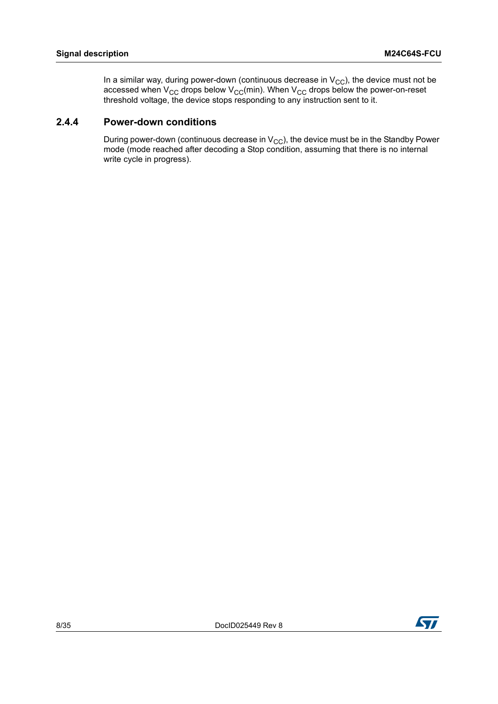In a similar way, during power-down (continuous decrease in  $\rm V_{CC}$ ), the device must not be accessed when V<sub>CC</sub> drops below V<sub>CC</sub>(min). When V<sub>CC</sub> drops below the power-on-reset threshold voltage, the device stops responding to any instruction sent to it.

#### <span id="page-7-0"></span>**2.4.4 Power-down conditions**

During power-down (continuous decrease in  $V_{CC}$ ), the device must be in the Standby Power mode (mode reached after decoding a Stop condition, assuming that there is no internal write cycle in progress).

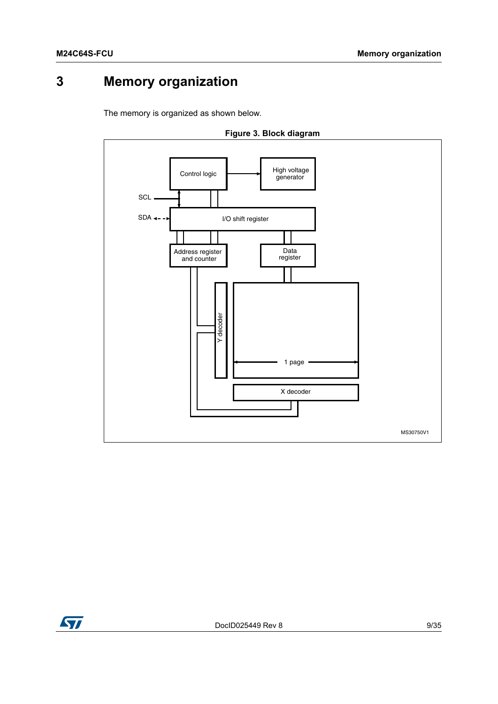## <span id="page-8-0"></span>**3 Memory organization**

The memory is organized as shown below.

<span id="page-8-1"></span>



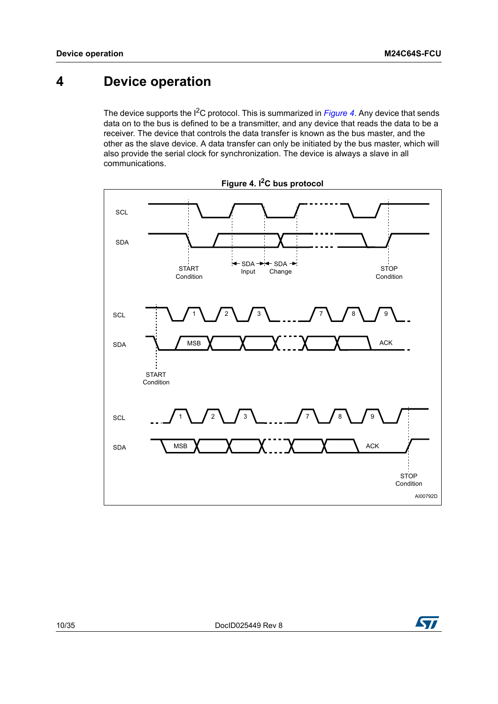## <span id="page-9-0"></span>**4 Device operation**

The device supports the I<sup>2</sup>C protocol. This is summarized in *[Figure 4](#page-9-1)*. Any device that sends data on to the bus is defined to be a transmitter, and any device that reads the data to be a receiver. The device that controls the data transfer is known as the bus master, and the other as the slave device. A data transfer can only be initiated by the bus master, which will also provide the serial clock for synchronization. The device is always a slave in all communications.

<span id="page-9-1"></span>



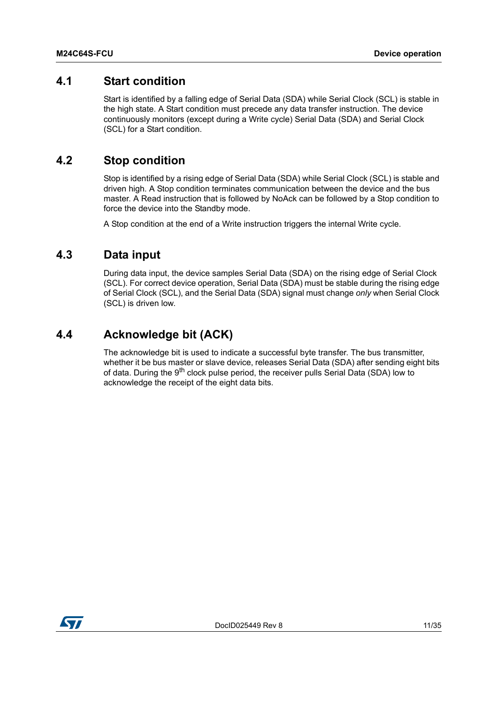### <span id="page-10-0"></span>**4.1 Start condition**

Start is identified by a falling edge of Serial Data (SDA) while Serial Clock (SCL) is stable in the high state. A Start condition must precede any data transfer instruction. The device continuously monitors (except during a Write cycle) Serial Data (SDA) and Serial Clock (SCL) for a Start condition.

### <span id="page-10-1"></span>**4.2 Stop condition**

Stop is identified by a rising edge of Serial Data (SDA) while Serial Clock (SCL) is stable and driven high. A Stop condition terminates communication between the device and the bus master. A Read instruction that is followed by NoAck can be followed by a Stop condition to force the device into the Standby mode.

A Stop condition at the end of a Write instruction triggers the internal Write cycle.

### <span id="page-10-2"></span>**4.3 Data input**

During data input, the device samples Serial Data (SDA) on the rising edge of Serial Clock (SCL). For correct device operation, Serial Data (SDA) must be stable during the rising edge of Serial Clock (SCL), and the Serial Data (SDA) signal must change *only* when Serial Clock (SCL) is driven low.

### <span id="page-10-3"></span>**4.4 Acknowledge bit (ACK)**

The acknowledge bit is used to indicate a successful byte transfer. The bus transmitter, whether it be bus master or slave device, releases Serial Data (SDA) after sending eight bits of data. During the 9<sup>th</sup> clock pulse period, the receiver pulls Serial Data (SDA) low to acknowledge the receipt of the eight data bits.

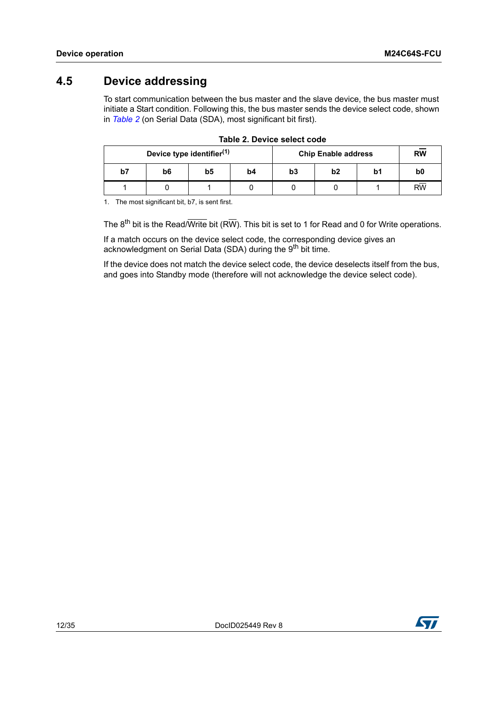## <span id="page-11-0"></span>**4.5 Device addressing**

To start communication between the bus master and the slave device, the bus master must initiate a Start condition. Following this, the bus master sends the device select code, shown in *[Table 2](#page-11-1)* (on Serial Data (SDA), most significant bit first).

<span id="page-11-1"></span>

|    | Device type identifier <sup>(1)</sup> |    |    | <b>Chip Enable address</b> | <b>RW</b>      |    |                 |
|----|---------------------------------------|----|----|----------------------------|----------------|----|-----------------|
| b7 | b6                                    | b5 | b4 | b3                         | b <sub>2</sub> | b1 | b <sub>0</sub>  |
|    |                                       |    |    |                            |                |    | $R\overline{W}$ |

|  | Table 2. Device select code |  |
|--|-----------------------------|--|
|  |                             |  |

1. The most significant bit, b7, is sent first.

The  $8^{th}$  bit is the Read/Write bit (RW). This bit is set to 1 for Read and 0 for Write operations.

If a match occurs on the device select code, the corresponding device gives an acknowledgment on Serial Data (SDA) during the 9<sup>th</sup> bit time.

If the device does not match the device select code, the device deselects itself from the bus, and goes into Standby mode (therefore will not acknowledge the device select code).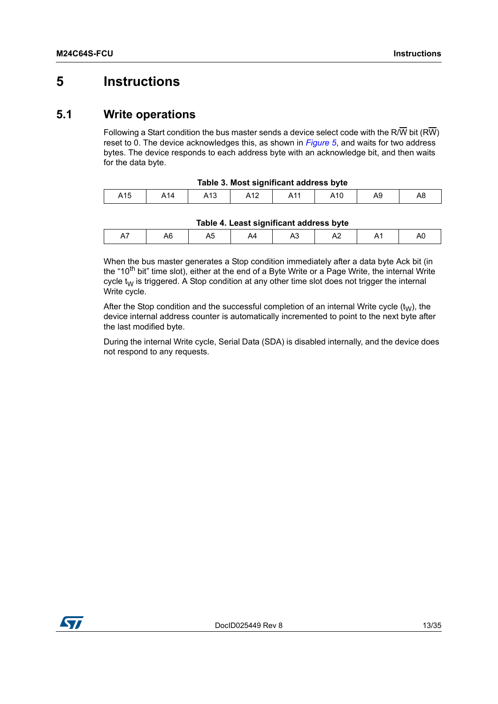## <span id="page-12-0"></span>**5 Instructions**

### <span id="page-12-1"></span>**5.1 Write operations**

Following a Start condition the bus master sends a device select code with the R/W bit (RW) reset to 0. The device acknowledges this, as shown in *[Figure 5](#page-13-1)*, and waits for two address bytes. The device responds to each address byte with an acknowledge bit, and then waits for the data byte.

<span id="page-12-2"></span>

| Table 3. Most significant address byte |                 |     |     |     |     |    |    |  |  |  |
|----------------------------------------|-----------------|-----|-----|-----|-----|----|----|--|--|--|
| A15                                    | A <sub>14</sub> | A13 | A12 | A11 | A10 | Α9 | A8 |  |  |  |

| A14 | A13 | A12 | Δ <sub>11</sub><br>,,,, | A10 | Α9 |  |
|-----|-----|-----|-------------------------|-----|----|--|
|-----|-----|-----|-------------------------|-----|----|--|

| Tahlo 4   past significant address hyte |  |
|-----------------------------------------|--|

<span id="page-12-3"></span>

| ¬∾<br>יר<br>∼ | Table 4. Least significant address byte |  |  |  |  |  |  |  |  |  |  |
|---------------|-----------------------------------------|--|--|--|--|--|--|--|--|--|--|
|               |                                         |  |  |  |  |  |  |  |  |  |  |

When the bus master generates a Stop condition immediately after a data byte Ack bit (in the "10<sup>th</sup> bit" time slot), either at the end of a Byte Write or a Page Write, the internal Write cycle  $t_W$  is triggered. A Stop condition at any other time slot does not trigger the internal Write cycle.

After the Stop condition and the successful completion of an internal Write cycle  $(t<sub>W</sub>)$ , the device internal address counter is automatically incremented to point to the next byte after the last modified byte.

During the internal Write cycle, Serial Data (SDA) is disabled internally, and the device does not respond to any requests.

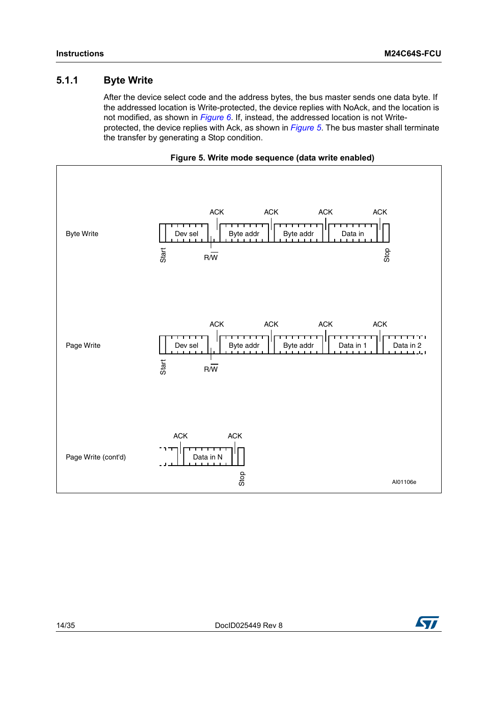#### <span id="page-13-0"></span>**5.1.1 Byte Write**

After the device select code and the address bytes, the bus master sends one data byte. If the addressed location is Write-protected, the device replies with NoAck, and the location is not modified, as shown in *[Figure 6](#page-14-1)*. If, instead, the addressed location is not Writeprotected, the device replies with Ack, as shown in *[Figure 5](#page-13-1)*. The bus master shall terminate the transfer by generating a Stop condition.

<span id="page-13-1"></span>

**Figure 5. Write mode sequence (data write enabled)**

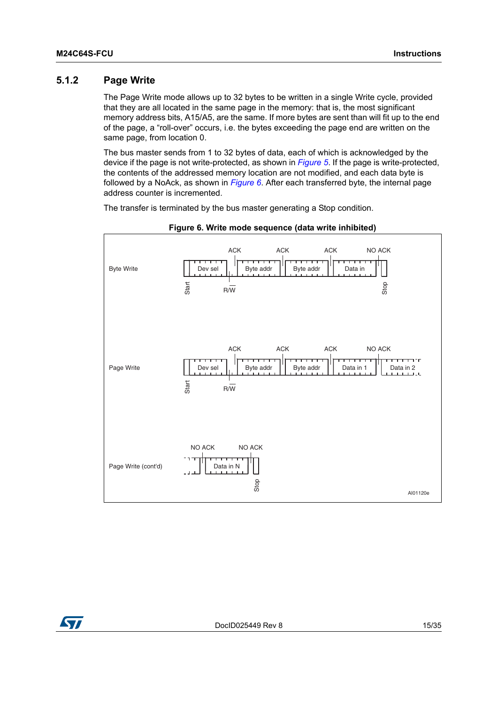#### <span id="page-14-0"></span>**5.1.2 Page Write**

The Page Write mode allows up to 32 bytes to be written in a single Write cycle, provided that they are all located in the same page in the memory: that is, the most significant memory address bits, A15/A5, are the same. If more bytes are sent than will fit up to the end of the page, a "roll-over" occurs, i.e. the bytes exceeding the page end are written on the same page, from location 0.

The bus master sends from 1 to 32 bytes of data, each of which is acknowledged by the device if the page is not write-protected, as shown in *[Figure 5](#page-13-1)*. If the page is write-protected, the contents of the addressed memory location are not modified, and each data byte is followed by a NoAck, as shown in *[Figure 6](#page-14-1)*. After each transferred byte, the internal page address counter is incremented.

The transfer is terminated by the bus master generating a Stop condition.

<span id="page-14-1"></span>



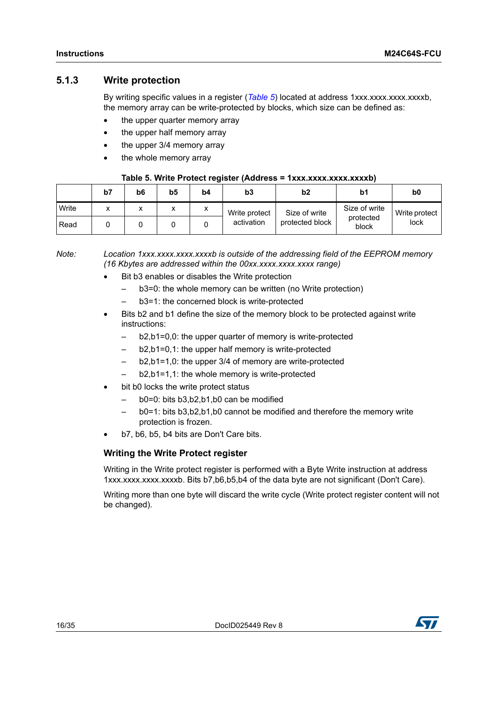#### <span id="page-15-0"></span>**5.1.3 Write protection**

By writing specific values in a register (*[Table 5](#page-15-1)*) located at address 1xxx.xxx.xxxx.xxxxb, the memory array can be write-protected by blocks, which size can be defined as:

- the upper quarter memory array
- the upper half memory array
- the upper 3/4 memory array
- the whole memory array

#### **Table 5. Write Protect register (Address = 1xxx.xxxx.xxxx.xxxxb)**

<span id="page-15-1"></span>

|       | b7 | b6     | b5           | b4 | b3            | b2              | b1                 | b <sub>0</sub> |
|-------|----|--------|--------------|----|---------------|-----------------|--------------------|----------------|
| Write |    | v<br>́ | $\mathbf{v}$ |    | Write protect | Size of write   | Size of write      | Write protect  |
| Read  |    |        |              |    | activation    | protected block | protected<br>block | lock           |

*Note: Location 1xxx.xxxx.xxxx.xxxxb is outside of the addressing field of the EEPROM memory (16 Kbytes are addressed within the 00xx.xxxx.xxxx.xxxx range)* 

- Bit b3 enables or disables the Write protection
	- b3=0: the whole memory can be written (no Write protection)
	- b3=1: the concerned block is write-protected
- Bits b2 and b1 define the size of the memory block to be protected against write instructions:
	- b2,b1=0,0: the upper quarter of memory is write-protected
	- b2,b1=0,1: the upper half memory is write-protected
	- b2,b1=1,0: the upper 3/4 of memory are write-protected
	- b2,b1=1,1: the whole memory is write-protected
- bit b0 locks the write protect status
	- b0=0: bits b3,b2,b1,b0 can be modified
	- b0=1: bits b3,b2,b1,b0 cannot be modified and therefore the memory write protection is frozen.
- b7, b6, b5, b4 bits are Don't Care bits.

#### **Writing the Write Protect register**

Writing in the Write protect register is performed with a Byte Write instruction at address 1xxx.xxxx.xxxx.xxxxb. Bits b7,b6,b5,b4 of the data byte are not significant (Don't Care).

Writing more than one byte will discard the write cycle (Write protect register content will not be changed).

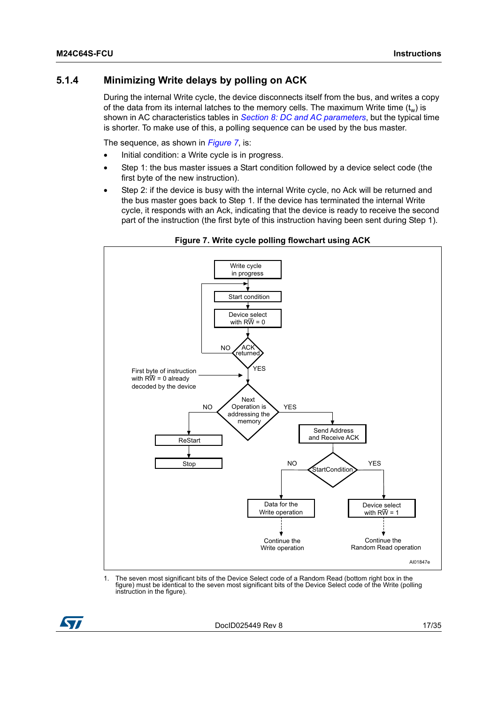#### <span id="page-16-0"></span>**5.1.4 Minimizing Write delays by polling on ACK**

During the internal Write cycle, the device disconnects itself from the bus, and writes a copy of the data from its internal latches to the memory cells. The maximum Write time  $(t_w)$  is shown in AC characteristics tables in *[Section 8: DC and AC parameters](#page-21-0)*, but the typical time is shorter. To make use of this, a polling sequence can be used by the bus master.

The sequence, as shown in *[Figure 7](#page-16-1)*, is:

- Initial condition: a Write cycle is in progress.
- Step 1: the bus master issues a Start condition followed by a device select code (the first byte of the new instruction).
- Step 2: if the device is busy with the internal Write cycle, no Ack will be returned and the bus master goes back to Step 1. If the device has terminated the internal Write cycle, it responds with an Ack, indicating that the device is ready to receive the second part of the instruction (the first byte of this instruction having been sent during Step 1).

<span id="page-16-1"></span>

#### **Figure 7. Write cycle polling flowchart using ACK**

1. The seven most significant bits of the Device Select code of a Random Read (bottom right box in the figure) must be identical to the seven most significant bits of the Device Select code of the Write (polling instruction in the figure).



DocID025449 Rev 8 17/[35](#page-34-0)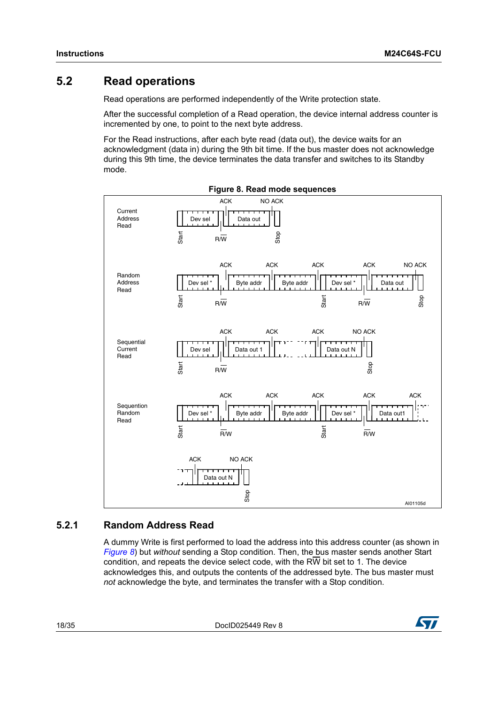### <span id="page-17-0"></span>**5.2 Read operations**

Read operations are performed independently of the Write protection state.

After the successful completion of a Read operation, the device internal address counter is incremented by one, to point to the next byte address.

For the Read instructions, after each byte read (data out), the device waits for an acknowledgment (data in) during the 9th bit time. If the bus master does not acknowledge during this 9th time, the device terminates the data transfer and switches to its Standby mode.

<span id="page-17-2"></span>

#### <span id="page-17-1"></span>**5.2.1 Random Address Read**

A dummy Write is first performed to load the address into this address counter (as shown in *[Figure 8](#page-17-2)*) but *without* sending a Stop condition. Then, the bus master sends another Start condition, and repeats the device select code, with the RW bit set to 1. The device acknowledges this, and outputs the contents of the addressed byte. The bus master must

18/[35](#page-34-0) DocID025449 Rev 8

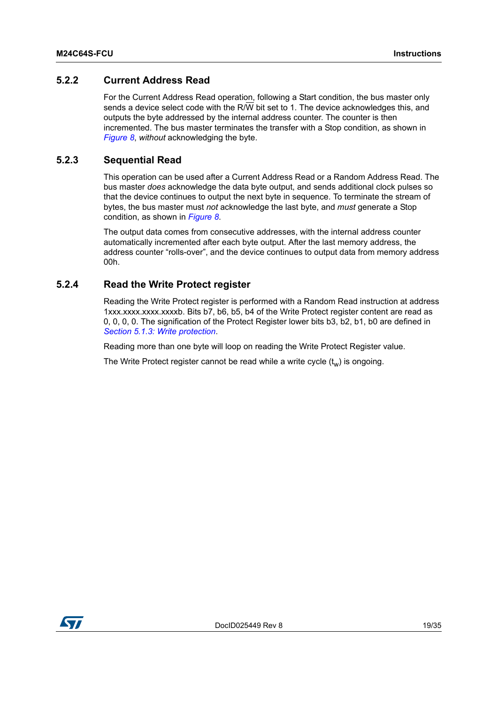#### <span id="page-18-0"></span>**5.2.2 Current Address Read**

For the Current Address Read operation, following a Start condition, the bus master only sends a device select code with the R/W bit set to 1. The device acknowledges this, and outputs the byte addressed by the internal address counter. The counter is then incremented. The bus master terminates the transfer with a Stop condition, as shown in *[Figure 8](#page-17-2)*, *without* acknowledging the byte.

#### <span id="page-18-1"></span>**5.2.3 Sequential Read**

This operation can be used after a Current Address Read or a Random Address Read. The bus master *does* acknowledge the data byte output, and sends additional clock pulses so that the device continues to output the next byte in sequence. To terminate the stream of bytes, the bus master must *not* acknowledge the last byte, and *must* generate a Stop condition, as shown in *[Figure 8](#page-17-2)*.

The output data comes from consecutive addresses, with the internal address counter automatically incremented after each byte output. After the last memory address, the address counter "rolls-over", and the device continues to output data from memory address 00h.

#### <span id="page-18-2"></span>**5.2.4 Read the Write Protect register**

Reading the Write Protect register is performed with a Random Read instruction at address 1xxx.xxxx.xxxx.xxxxb. Bits b7, b6, b5, b4 of the Write Protect register content are read as 0, 0, 0, 0. The signification of the Protect Register lower bits b3, b2, b1, b0 are defined in *[Section 5.1.3: Write protection](#page-15-0)*.

Reading more than one byte will loop on reading the Write Protect Register value.

The Write Protect register cannot be read while a write cycle  $(t_w)$  is ongoing.

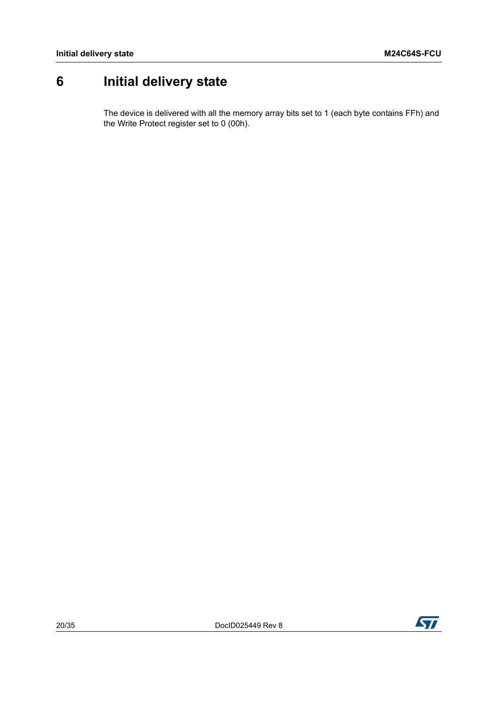## <span id="page-19-0"></span>**6 Initial delivery state**

The device is delivered with all the memory array bits set to 1 (each byte contains FFh) and the Write Protect register set to 0 (00h).

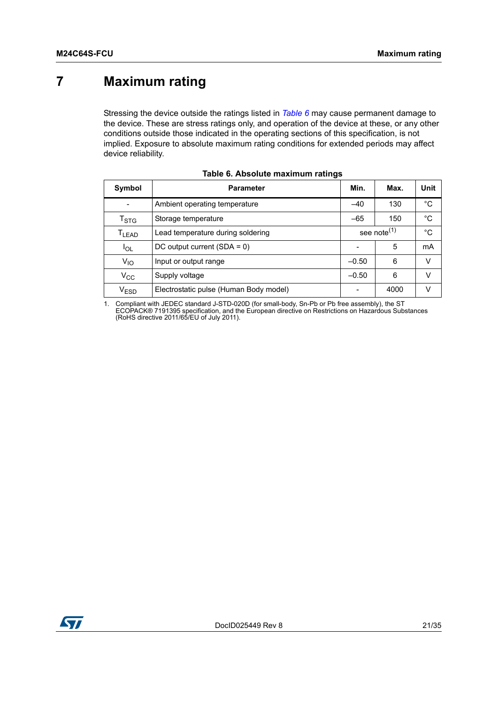## <span id="page-20-0"></span>**7 Maximum rating**

Stressing the device outside the ratings listed in *[Table 6](#page-20-1)* may cause permanent damage to the device. These are stress ratings only, and operation of the device at these, or any other conditions outside those indicated in the operating sections of this specification, is not implied. Exposure to absolute maximum rating conditions for extended periods may affect device reliability.

<span id="page-20-1"></span>

| Symbol                      | Min.<br><b>Parameter</b><br>Max.               |                         |    |        |  |  |
|-----------------------------|------------------------------------------------|-------------------------|----|--------|--|--|
|                             | Ambient operating temperature<br>130<br>$-40$  |                         |    |        |  |  |
| $\mathsf{T}_{\textsf{STG}}$ | $-65$<br>150<br>Storage temperature            |                         |    |        |  |  |
| T <sub>LEAD</sub>           | Lead temperature during soldering              | see note <sup>(1)</sup> | °C |        |  |  |
| $I_{OL}$                    | DC output current $(SDA = 0)$                  |                         | mA |        |  |  |
| $V_{IO}$                    | Input or output range                          | $-0.50$                 | 6  | $\vee$ |  |  |
| $V_{\rm CC}$                | Supply voltage                                 | $-0.50$                 | 6  | v      |  |  |
| $\rm V_{ESD}$               | Electrostatic pulse (Human Body model)<br>4000 |                         |    |        |  |  |

| Table 6. Absolute maximum ratings |  |  |  |  |
|-----------------------------------|--|--|--|--|
|-----------------------------------|--|--|--|--|

1. Compliant with JEDEC standard J-STD-020D (for small-body, Sn-Pb or Pb free assembly), the ST<br>ECOPACK® 7191395 specification, and the European directive on Restrictions on Hazardous Substances<br>(RoHS directive 2011/65/EU

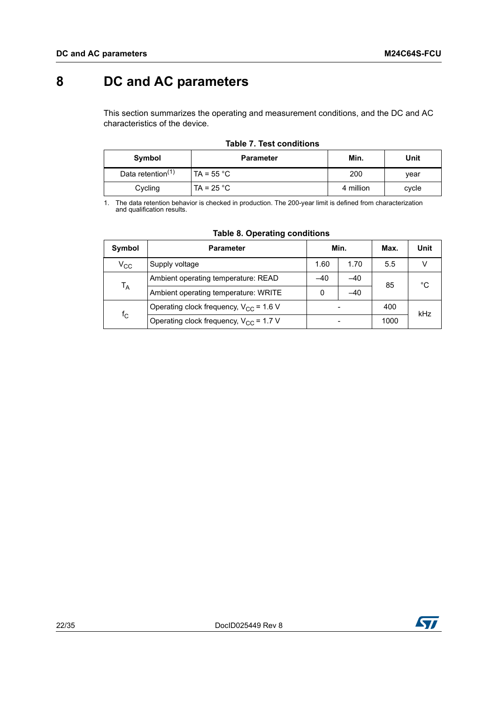## <span id="page-21-0"></span>**8 DC and AC parameters**

This section summarizes the operating and measurement conditions, and the DC and AC characteristics of the device.

<span id="page-21-1"></span>

| Symbol                        | <b>Parameter</b>    | Min.      | Unit  |
|-------------------------------|---------------------|-----------|-------|
| Data retention <sup>(1)</sup> | TA = $55^{\circ}$ C | 200       | vear  |
| Cycling                       | TA = $25 °C$        | 4 million | cycle |

#### **Table 7. Test conditions**

1. The data retention behavior is checked in production. The 200-year limit is defined from characterization and qualification results.

<span id="page-21-2"></span>

| Symbol                                                     | <b>Parameter</b>                                   | Min.  |       | Max. | <b>Unit</b> |
|------------------------------------------------------------|----------------------------------------------------|-------|-------|------|-------------|
| $\rm v_{cc}$                                               | Supply voltage                                     | 1.60  | 1.70  | 5.5  |             |
|                                                            | Ambient operating temperature: READ                | $-40$ | $-40$ | 85   | °C          |
|                                                            | $T_A$<br>Ambient operating temperature: WRITE<br>0 |       |       |      |             |
|                                                            | Operating clock frequency, $V_{CC}$ = 1.6 V        |       |       |      | kHz         |
| $f_{\rm C}$<br>Operating clock frequency, $V_{CC}$ = 1.7 V |                                                    |       |       | 1000 |             |

#### **Table 8. Operating conditions**

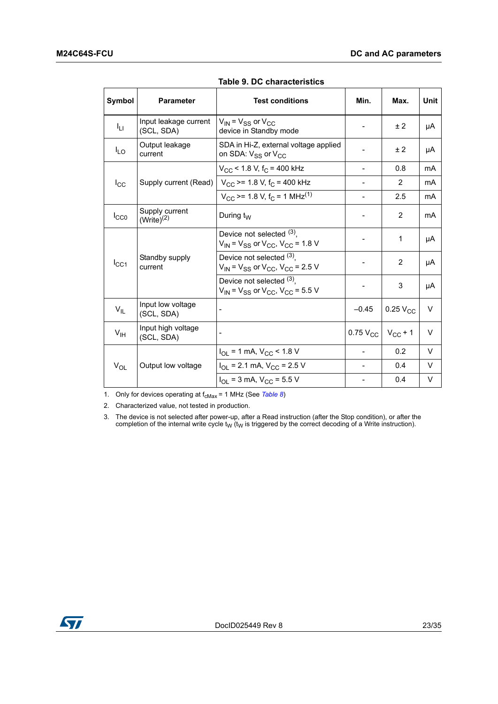<span id="page-22-0"></span>

| Symbol          | <b>Parameter</b>                    | <b>Test conditions</b>                                                            | Min.                  | Max.            | Unit   |
|-----------------|-------------------------------------|-----------------------------------------------------------------------------------|-----------------------|-----------------|--------|
| Iц              | Input leakage current<br>(SCL, SDA) | $V_{IN}$ = $V_{SS}$ or $V_{CC}$<br>device in Standby mode                         |                       | ± 2             | μA     |
| $I_{LO}$        | Output leakage<br>current           | SDA in Hi-Z, external voltage applied<br>on SDA: $V_{SS}$ or $V_{CC}$             |                       | ± 2             | μA     |
|                 |                                     | $V_{CC}$ < 1.8 V, f <sub>C</sub> = 400 kHz                                        |                       | 0.8             | mA     |
| $I_{\rm CC}$    | Supply current (Read)               | $V_{\text{CC}}$ >= 1.8 V, f <sub>C</sub> = 400 kHz                                |                       | 2               | mA     |
|                 |                                     | $V_{CC}$ >= 1.8 V, f <sub>C</sub> = 1 MHz <sup>(1)</sup>                          |                       | 2.5             | mA     |
| $I_{CC0}$       | Supply current<br>$(Write)^{(2)}$   | During $t_W$                                                                      |                       | $\overline{2}$  | mA     |
|                 |                                     | Device not selected $(3)$ ,<br>$V_{IN}$ = $V_{SS}$ or $V_{CC}$ , $V_{CC}$ = 1.8 V |                       | 1               | μA     |
| $I_{\rm CC1}$   | Standby supply<br>current           | Device not selected (3),<br>$V_{IN}$ = $V_{SS}$ or $V_{CC}$ , $V_{CC}$ = 2.5 V    |                       | 2               | μA     |
|                 |                                     | Device not selected (3).<br>$V_{IN}$ = $V_{SS}$ or $V_{CC}$ , $V_{CC}$ = 5.5 V    |                       | 3               | μA     |
| $V_{IL}$        | Input low voltage<br>(SCL, SDA)     |                                                                                   | $-0.45$               | $0.25$ $V_{CC}$ | $\vee$ |
| $V_{\text{IH}}$ | Input high voltage<br>(SCL, SDA)    |                                                                                   | $0.75\,V_{\text{CC}}$ | $V_{CC}$ + 1    | V      |
|                 |                                     | $I_{OL}$ = 1 mA, $V_{CC}$ < 1.8 V                                                 |                       | 0.2             | V      |
| $V_{OL}$        | Output low voltage                  | $I_{OL}$ = 2.1 mA, $V_{CC}$ = 2.5 V                                               |                       | 0.4             | V      |
|                 |                                     | $I_{\text{OL}}$ = 3 mA, $V_{\text{CC}}$ = 5.5 V                                   |                       | 0.4             | V      |

**Table 9. DC characteristics** 

1. Only for devices operating at  $f_{cMax} = 1$  MHz (See *[Table 8](#page-21-2)*)

2. Characterized value, not tested in production.

3. The device is not selected after power-up, after a Read instruction (after the Stop condition), or after the completion of the internal write cycle  $t_W$  ( $t_W$  is triggered by the correct decoding of a Write instruction).

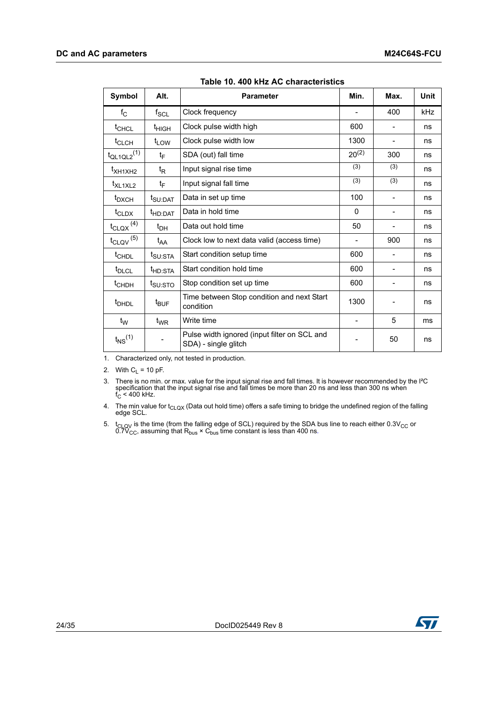<span id="page-23-0"></span>

| Symbol                           | Alt.                | <b>Parameter</b>                                                     | Min.       | Max.                         | <b>Unit</b> |
|----------------------------------|---------------------|----------------------------------------------------------------------|------------|------------------------------|-------------|
| $f_{\rm C}$                      | $f_{\rm SCL}$       | Clock frequency                                                      |            | 400                          | kHz         |
| $t_{CHCL}$                       | t <sub>HIGH</sub>   | Clock pulse width high                                               | 600        |                              | ns          |
| t <sub>CLCH</sub>                | $t_{LOW}$           | Clock pulse width low                                                | 1300       | $\qquad \qquad \blacksquare$ | ns          |
| $t_{QL1QL2}$ <sup>(1)</sup>      | tF                  | SDA (out) fall time                                                  | $20^{(2)}$ | 300                          | ns          |
| t <sub>XH1XH2</sub>              | t <sub>R</sub>      | Input signal rise time                                               | (3)        | (3)                          | ns          |
| $t_{\text{XL1XL2}}$              | $t_{\text{F}}$      | Input signal fall time                                               | (3)        | (3)                          | ns          |
| $t_{\rm DXCH}$                   | t <sub>SU:DAT</sub> | Data in set up time                                                  | 100        | $\overline{\phantom{0}}$     | ns          |
| $t_{CLDX}$                       | t <sub>HD:DAT</sub> | Data in hold time                                                    | $\Omega$   |                              | ns          |
| $t_{\text{CLQX}}$ <sup>(4)</sup> | $t_{\text{DH}}$     | Data out hold time                                                   | 50         | -                            | ns          |
| $t_{\text{CLQV}}^{(5)}$          | $t_{AA}$            | Clock low to next data valid (access time)                           |            | 900                          | ns          |
| t <sub>CHDL</sub>                | $t_{\text{SU:STA}}$ | Start condition setup time                                           | 600        | $\qquad \qquad \blacksquare$ | ns          |
| t <sub>DLCL</sub>                | t <sub>HD:STA</sub> | Start condition hold time                                            | 600        |                              | ns          |
| $t$ <sub>CHDH</sub>              | t <sub>SU:STO</sub> | Stop condition set up time                                           | 600        |                              | ns          |
| <sup>t</sup> DHDL                | $t_{\text{BUF}}$    | Time between Stop condition and next Start<br>condition              | 1300       |                              | ns          |
| $t_{\rm W}$                      | $t_{\mathsf{WR}}$   | Write time                                                           |            | 5                            | ms          |
| $t_{NS}$ <sup>(1)</sup>          |                     | Pulse width ignored (input filter on SCL and<br>SDA) - single glitch |            | 50                           | ns          |

**Table 10. 400 kHz AC characteristics** 

1. Characterized only, not tested in production.

2. With  $C_L = 10$  pF.

3. There is no min. or max. value for the input signal rise and fall times. It is however recommended by the l<sup>2</sup>C specification that the input signal rise and fall times be more than 20 ns and less than 300 ns when  $f_C <$ 

4. The min value for  $t_{\text{CLQX}}$  (Data out hold time) offers a safe timing to bridge the undefined region of the falling edge SCL.

5.  $t_{\text{CLOV}}$  is the time (from the falling edge of SCL) required by the SDA bus line to reach either 0.3V<sub>CC</sub> or 0.7V<sub>CC</sub>, assuming that R<sub>bus</sub> × C<sub>bus</sub> time constant is less than 400 ns.

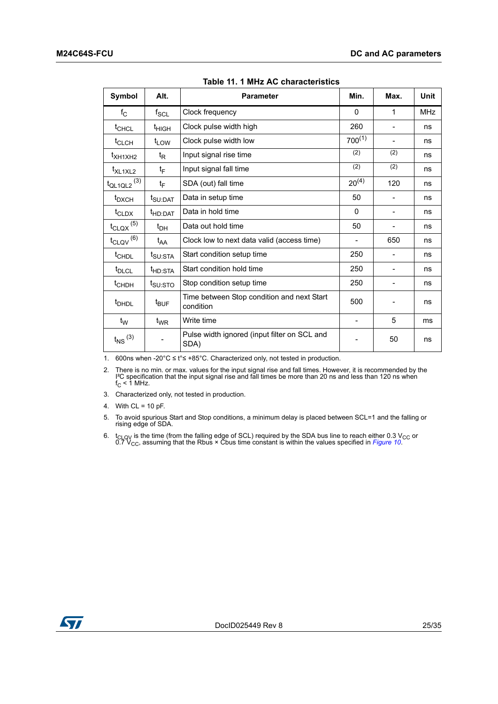<span id="page-24-0"></span>

| Symbol                           | Alt.                | <b>Parameter</b>                                        | Min.                     | Max. | <b>Unit</b> |
|----------------------------------|---------------------|---------------------------------------------------------|--------------------------|------|-------------|
| $f_{\rm C}$                      | $f_{\rm SCL}$       | Clock frequency                                         | $\Omega$                 | 1    | <b>MHz</b>  |
| $t_{CHCL}$                       | t <sub>HIGH</sub>   | Clock pulse width high                                  | 260                      |      | ns          |
| $t_{CLCH}$                       | $t_{LOW}$           | Clock pulse width low                                   | $700^{(1)}$              |      | ns          |
| t <sub>XH1XH2</sub>              | t <sub>R</sub>      | Input signal rise time                                  | (2)                      | (2)  | ns          |
| t <sub>XL1XL2</sub>              | tF                  | Input signal fall time                                  | (2)                      | (2)  | ns          |
| $t_{QL1QL2}$ (3)                 | $t_F$               | SDA (out) fall time                                     | $20^{(4)}$               | 120  | ns          |
| t <sub>DXCH</sub>                | t <sub>SU:DAT</sub> | Data in setup time                                      | 50                       |      | ns          |
| $t_{CLDX}$                       | t <sub>HD:DAT</sub> | Data in hold time                                       | 0                        | -    | ns          |
| $t_{\text{CLQX}}$ <sup>(5)</sup> | $t_{DH}$            | Data out hold time                                      | 50                       | -    | ns          |
| $t_{\text{CLQV}}^{(6)}$          | $t_{AA}$            | Clock low to next data valid (access time)              | $\overline{\phantom{a}}$ | 650  | ns          |
| t <sub>CHDL</sub>                | t <sub>SU:STA</sub> | Start condition setup time                              | 250                      | -    | ns          |
| t <sub>DLCL</sub>                | t <sub>HD:STA</sub> | Start condition hold time                               | 250                      |      | ns          |
| $t$ <sub>CHDH</sub>              | t <sub>SU:STO</sub> | Stop condition setup time                               | 250                      | -    | ns          |
| <sup>t</sup> DHDL                | $t_{\text{BUF}}$    | Time between Stop condition and next Start<br>condition | 500                      |      | ns          |
| t <sub>w</sub>                   | $t_{\mathsf{WR}}$   | Write time                                              |                          | 5    | ms          |
| $t_{\text{NS}}$ (3)              |                     | Pulse width ignored (input filter on SCL and<br>SDA)    |                          | 50   | ns          |

**Table 11. 1 MHz AC characteristics** 

1. 600ns when -20°C ≤ t°≤ +85°C. Characterized only, not tested in production.

2. There is no min. or max. values for the input signal rise and fall times. However, it is recommended by the  $I^2C$  specification that the input signal rise and fall times be more than 20 ns and less than 120 ns when  $f$ 

3. Characterized only, not tested in production.

4. With  $CL = 10 pF$ .

- 5. To avoid spurious Start and Stop conditions, a minimum delay is placed between SCL=1 and the falling or rising edge of SDA.
- 6. t<sub>CLQV</sub> is the time (from the falling edge of SCL) required by the SDA bus line to reach either 0.3 V<sub>CC</sub> or 0.7 V<sub>CC</sub>, assuming that the Rbus × Cbus time constant is within the values specified in *[Figure 10](#page-25-1)*.

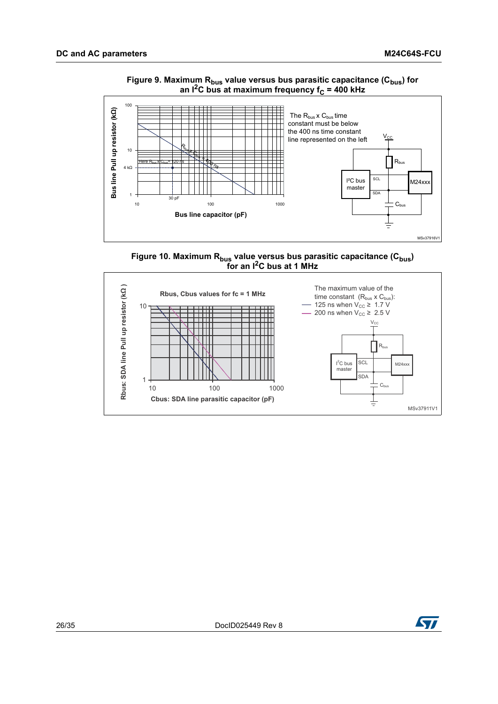<span id="page-25-0"></span>

#### Figure 9. Maximum R<sub>bus</sub> value versus bus parasitic capacitance (C<sub>bus</sub>) for an I<sup>2</sup>C bus at maximum frequency f<sub>C</sub> = 400 kHz

<span id="page-25-1"></span>



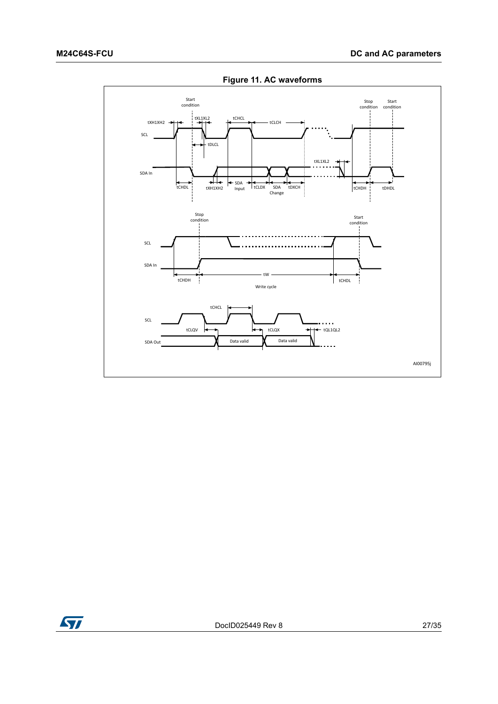<span id="page-26-0"></span>

**Figure 11. AC waveforms**

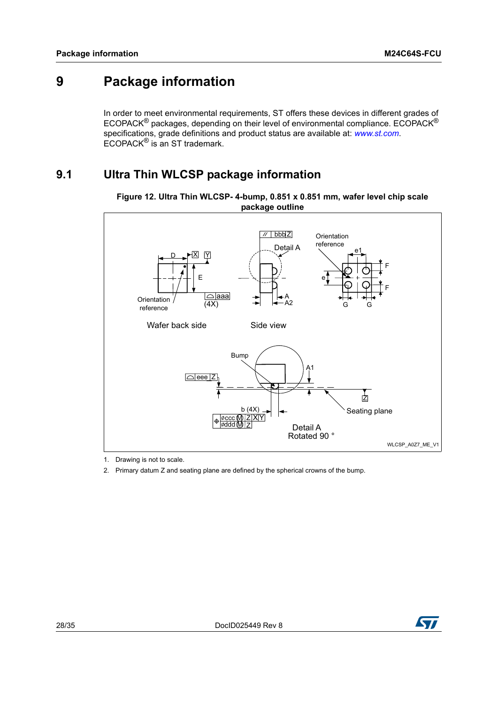## <span id="page-27-0"></span>**9 Package information**

In order to meet environmental requirements, ST offers these devices in different grades of ECOPACK® packages, depending on their level of environmental compliance. ECOPACK® specifications, grade definitions and product status are available at: *www.st.com*. ECOPACK® is an ST trademark.

## <span id="page-27-1"></span>**9.1 Ultra Thin WLCSP package information**



<span id="page-27-2"></span>**Figure 12. Ultra Thin WLCSP- 4-bump, 0.851 x 0.851 mm, wafer level chip scale package outline**

1. Drawing is not to scale.

2. Primary datum Z and seating plane are defined by the spherical crowns of the bump.

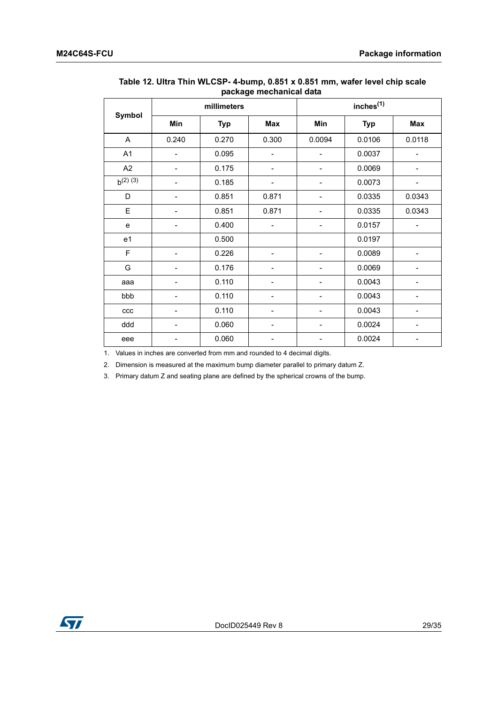|               |                          | r-----g-<br>millimeters |                              |        | inches <sup>(1)</sup> |                |
|---------------|--------------------------|-------------------------|------------------------------|--------|-----------------------|----------------|
| Symbol        | Min                      | <b>Typ</b>              | Max                          | Min    | <b>Typ</b>            | Max            |
| A             | 0.240                    | 0.270                   | 0.300                        | 0.0094 | 0.0106                | 0.0118         |
| A1            |                          | 0.095                   |                              |        | 0.0037                |                |
| A2            |                          | 0.175                   |                              |        | 0.0069                |                |
| $b^{(2) (3)}$ |                          | 0.185                   | $\overline{\phantom{0}}$     |        | 0.0073                | -              |
| D             | $\overline{\phantom{0}}$ | 0.851                   | 0.871                        |        | 0.0335                | 0.0343         |
| E             | $\overline{\phantom{0}}$ | 0.851                   | 0.871                        |        | 0.0335                | 0.0343         |
| e             |                          | 0.400                   |                              |        | 0.0157                | $\overline{a}$ |
| e1            |                          | 0.500                   |                              |        | 0.0197                |                |
| F             |                          | 0.226                   |                              |        | 0.0089                |                |
| G             |                          | 0.176                   |                              |        | 0.0069                |                |
| aaa           |                          | 0.110                   |                              |        | 0.0043                |                |
| bbb           |                          | 0.110                   |                              |        | 0.0043                |                |
| ccc           |                          | 0.110                   | -                            |        | 0.0043                |                |
| ddd           | -                        | 0.060                   | $\qquad \qquad \blacksquare$ |        | 0.0024                | -              |
| eee           |                          | 0.060                   |                              |        | 0.0024                |                |

#### <span id="page-28-0"></span>**Table 12. Ultra Thin WLCSP- 4-bump, 0.851 x 0.851 mm, wafer level chip scale package mechanical data**

1. Values in inches are converted from mm and rounded to 4 decimal digits.

2. Dimension is measured at the maximum bump diameter parallel to primary datum Z.

3. Primary datum Z and seating plane are defined by the spherical crowns of the bump.

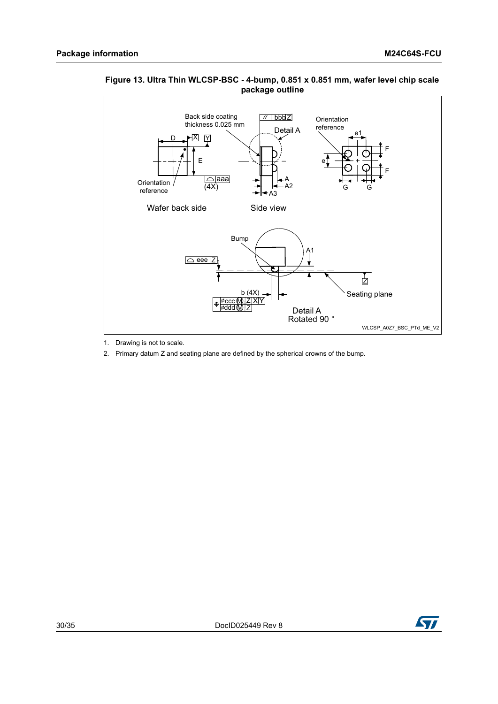

#### <span id="page-29-0"></span>**Figure 13. Ultra Thin WLCSP-BSC - 4-bump, 0.851 x 0.851 mm, wafer level chip scale package outline**

- 1. Drawing is not to scale.
- 2. Primary datum Z and seating plane are defined by the spherical crowns of the bump.

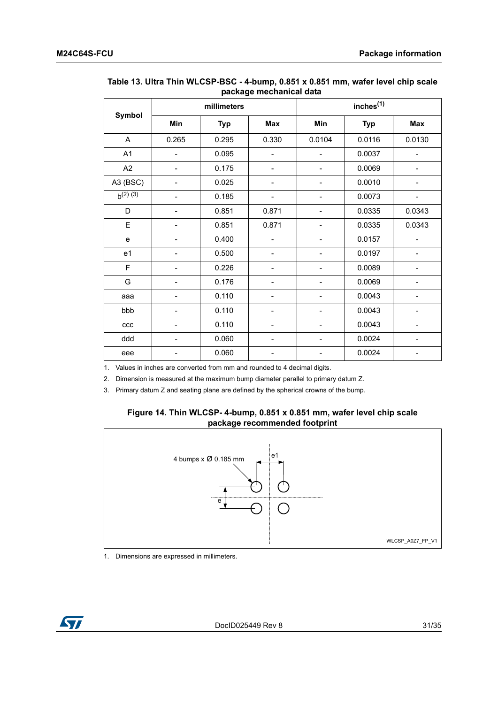|               |                | millimeters |                          |        | inches <sup>(1)</sup> |                          |
|---------------|----------------|-------------|--------------------------|--------|-----------------------|--------------------------|
| Symbol        | Min            | <b>Typ</b>  | Max                      | Min    | <b>Typ</b>            | Max                      |
| $\mathsf{A}$  | 0.265          | 0.295       | 0.330                    | 0.0104 | 0.0116                | 0.0130                   |
| A1            | $\overline{a}$ | 0.095       | $\overline{\phantom{0}}$ |        | 0.0037                | $\overline{\phantom{0}}$ |
| A2            |                | 0.175       | $\overline{\phantom{0}}$ |        | 0.0069                | $\overline{\phantom{0}}$ |
| A3 (BSC)      |                | 0.025       |                          |        | 0.0010                | -                        |
| $b^{(2) (3)}$ |                | 0.185       |                          |        | 0.0073                |                          |
| D             |                | 0.851       | 0.871                    |        | 0.0335                | 0.0343                   |
| E             |                | 0.851       | 0.871                    |        | 0.0335                | 0.0343                   |
| e             |                | 0.400       | $\overline{a}$           |        | 0.0157                | $\overline{a}$           |
| e1            |                | 0.500       |                          |        | 0.0197                | -                        |
| F             |                | 0.226       |                          |        | 0.0089                |                          |
| G             |                | 0.176       |                          |        | 0.0069                |                          |
| aaa           |                | 0.110       |                          |        | 0.0043                |                          |
| bbb           |                | 0.110       |                          |        | 0.0043                |                          |
| ccc           |                | 0.110       | -                        |        | 0.0043                | -                        |
| ddd           |                | 0.060       |                          |        | 0.0024                |                          |
| eee           |                | 0.060       |                          |        | 0.0024                |                          |

#### <span id="page-30-0"></span>**Table 13. Ultra Thin WLCSP-BSC - 4-bump, 0.851 x 0.851 mm, wafer level chip scale package mechanical data**

1. Values in inches are converted from mm and rounded to 4 decimal digits.

2. Dimension is measured at the maximum bump diameter parallel to primary datum Z.

<span id="page-30-1"></span>3. Primary datum Z and seating plane are defined by the spherical crowns of the bump.

#### **Figure 14. Thin WLCSP- 4-bump, 0.851 x 0.851 mm, wafer level chip scale package recommended footprint**



1. Dimensions are expressed in millimeters.

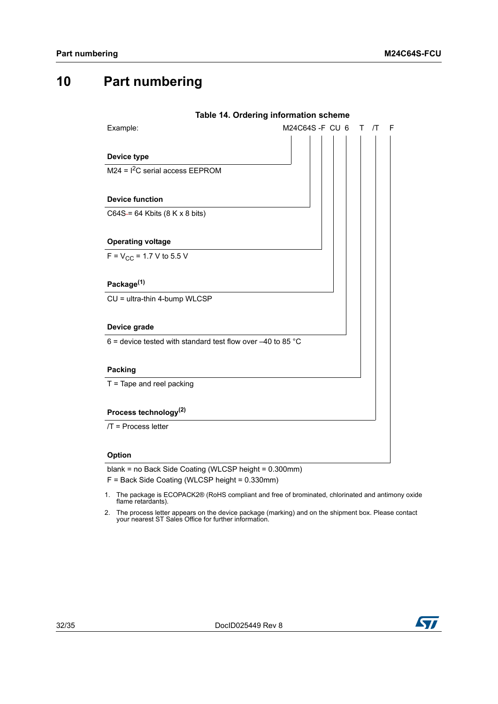## <span id="page-31-0"></span>**10 Part numbering**

<span id="page-31-1"></span>

|                                                               | Table 14. Ordering information scheme  |
|---------------------------------------------------------------|----------------------------------------|
| Example:                                                      | M24C64S-F CU 6<br>$\sqrt{T}$<br>F<br>т |
|                                                               |                                        |
| Device type                                                   |                                        |
| $M24 = I2C$ serial access EEPROM                              |                                        |
|                                                               |                                        |
| <b>Device function</b>                                        |                                        |
| $C64S = 64$ Kbits (8 K x 8 bits)                              |                                        |
|                                                               |                                        |
| <b>Operating voltage</b>                                      |                                        |
| $F = V_{CC} = 1.7 V$ to 5.5 V                                 |                                        |
|                                                               |                                        |
| Package <sup>(1)</sup>                                        |                                        |
| CU = ultra-thin 4-bump WLCSP                                  |                                        |
|                                                               |                                        |
| Device grade                                                  |                                        |
| 6 = device tested with standard test flow over $-40$ to 85 °C |                                        |
|                                                               |                                        |
| <b>Packing</b>                                                |                                        |
| $T =$ Tape and reel packing                                   |                                        |
|                                                               |                                        |
| Process technology <sup>(2)</sup>                             |                                        |
| $/T$ = Process letter                                         |                                        |
|                                                               |                                        |
| Option                                                        |                                        |

blank = no Back Side Coating (WLCSP height = 0.300mm)

F = Back Side Coating (WLCSP height = 0.330mm)

- 1. The package is ECOPACK2® (RoHS compliant and free of brominated, chlorinated and antimony oxide flame retardants).
- 2. The process letter appears on the device package (marking) and on the shipment box. Please contact your nearest ST Sales Office for further information.

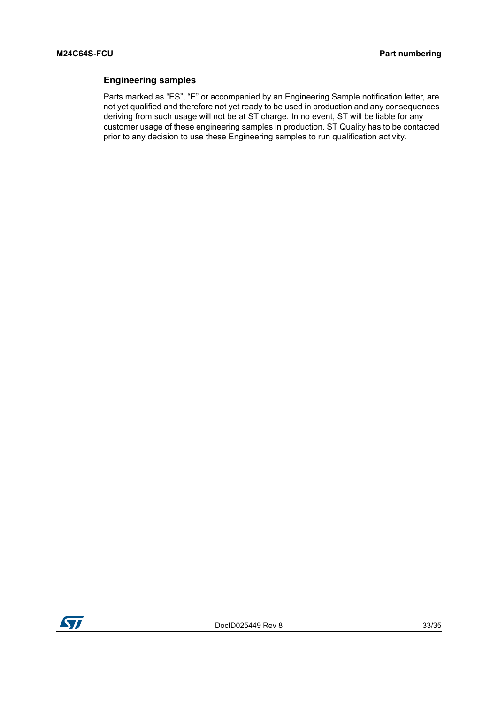#### **Engineering samples**

Parts marked as "ES", "E" or accompanied by an Engineering Sample notification letter, are not yet qualified and therefore not yet ready to be used in production and any consequences deriving from such usage will not be at ST charge. In no event, ST will be liable for any customer usage of these engineering samples in production. ST Quality has to be contacted prior to any decision to use these Engineering samples to run qualification activity.

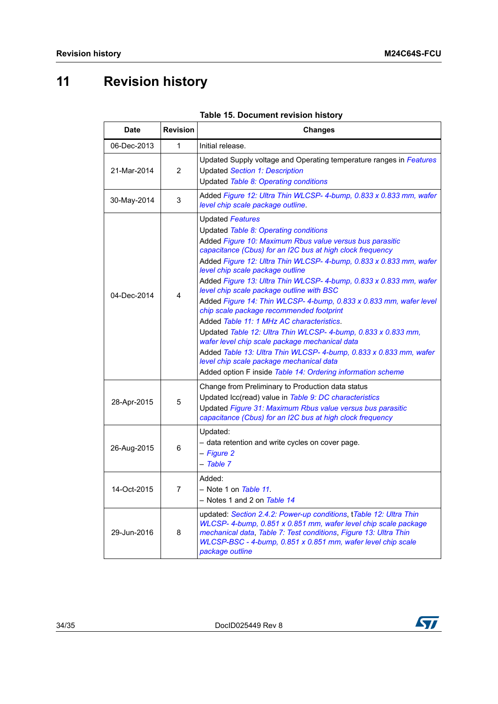## <span id="page-33-0"></span>**11 Revision history**

<span id="page-33-1"></span>

| <b>Date</b> | <b>Revision</b> | <b>Changes</b>                                                                                                                                                                                                                                                                                                                                                                                                                                                                                                                                                                                                                                                                                                                                                                                                                                                                           |
|-------------|-----------------|------------------------------------------------------------------------------------------------------------------------------------------------------------------------------------------------------------------------------------------------------------------------------------------------------------------------------------------------------------------------------------------------------------------------------------------------------------------------------------------------------------------------------------------------------------------------------------------------------------------------------------------------------------------------------------------------------------------------------------------------------------------------------------------------------------------------------------------------------------------------------------------|
| 06-Dec-2013 | 1               | Initial release.                                                                                                                                                                                                                                                                                                                                                                                                                                                                                                                                                                                                                                                                                                                                                                                                                                                                         |
| 21-Mar-2014 | 2               | Updated Supply voltage and Operating temperature ranges in Features<br><b>Updated Section 1: Description</b><br>Updated Table 8: Operating conditions                                                                                                                                                                                                                                                                                                                                                                                                                                                                                                                                                                                                                                                                                                                                    |
| 30-May-2014 | 3               | Added Figure 12: Ultra Thin WLCSP- 4-bump, 0.833 x 0.833 mm, wafer<br>level chip scale package outline.                                                                                                                                                                                                                                                                                                                                                                                                                                                                                                                                                                                                                                                                                                                                                                                  |
| 04-Dec-2014 | $\overline{4}$  | <b>Updated Features</b><br>Updated Table 8: Operating conditions<br>Added Figure 10: Maximum Rbus value versus bus parasitic<br>capacitance (Cbus) for an I2C bus at high clock frequency<br>Added Figure 12: Ultra Thin WLCSP- 4-bump, 0.833 x 0.833 mm, wafer<br>level chip scale package outline<br>Added Figure 13: Ultra Thin WLCSP- 4-bump, 0.833 x 0.833 mm, wafer<br>level chip scale package outline with BSC<br>Added Figure 14: Thin WLCSP- 4-bump, 0.833 x 0.833 mm, wafer level<br>chip scale package recommended footprint<br>Added Table 11: 1 MHz AC characteristics.<br>Updated Table 12: Ultra Thin WLCSP- 4-bump, 0.833 x 0.833 mm,<br>wafer level chip scale package mechanical data<br>Added Table 13: Ultra Thin WLCSP- 4-bump, 0.833 x 0.833 mm, wafer<br>level chip scale package mechanical data<br>Added option F inside Table 14: Ordering information scheme |
| 28-Apr-2015 | 5               | Change from Preliminary to Production data status<br>Updated Icc(read) value in Table 9: DC characteristics<br>Updated Figure 31: Maximum Rbus value versus bus parasitic<br>capacitance (Cbus) for an I2C bus at high clock frequency                                                                                                                                                                                                                                                                                                                                                                                                                                                                                                                                                                                                                                                   |
| 26-Aug-2015 | 6               | Updated:<br>- data retention and write cycles on cover page.<br>- Figure 2<br>- Table 7                                                                                                                                                                                                                                                                                                                                                                                                                                                                                                                                                                                                                                                                                                                                                                                                  |
| 14-Oct-2015 | 7               | Added:<br>- Note 1 on Table 11.<br>- Notes 1 and 2 on Table 14                                                                                                                                                                                                                                                                                                                                                                                                                                                                                                                                                                                                                                                                                                                                                                                                                           |
| 29-Jun-2016 | 8               | updated: Section 2.4.2: Power-up conditions, tTable 12: Ultra Thin<br>WLCSP- 4-bump, 0.851 x 0.851 mm, wafer level chip scale package<br>mechanical data, Table 7: Test conditions, Figure 13: Ultra Thin<br>WLCSP-BSC - 4-bump, 0.851 x 0.851 mm, wafer level chip scale<br>package outline                                                                                                                                                                                                                                                                                                                                                                                                                                                                                                                                                                                             |

### **Table 15. Document revision history**